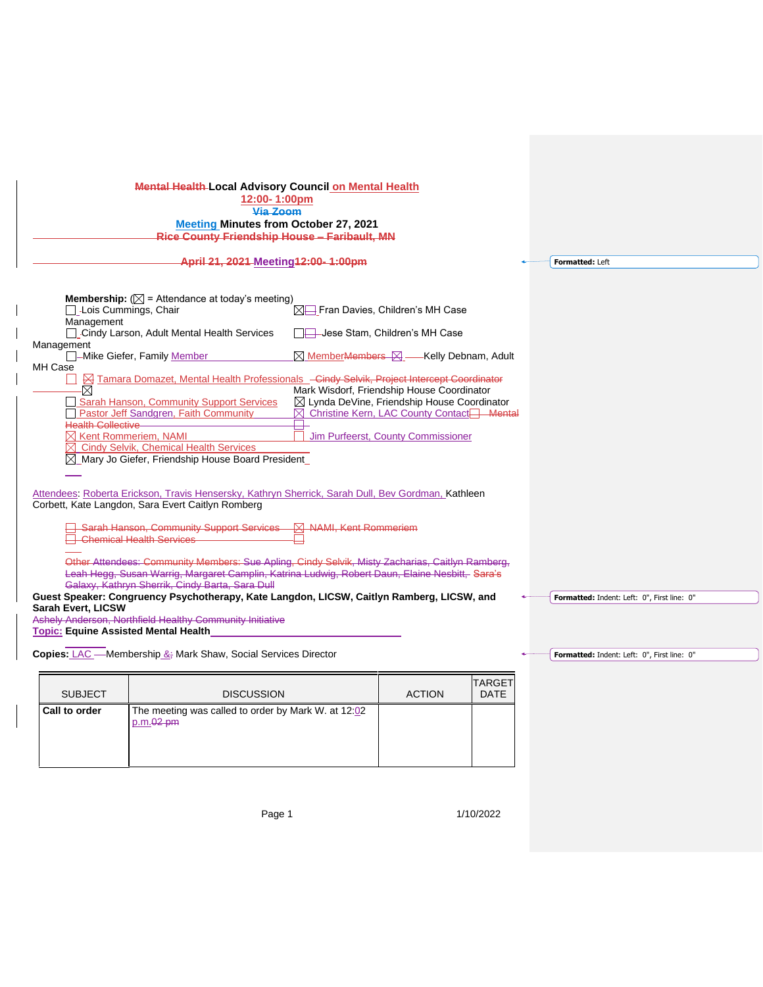| <b>Mental Health-Local Advisory Council on Mental Health</b><br>12:00-1:00pm<br>Via Zoom<br><b>Meeting Minutes from October 27, 2021</b><br>Rice County Friendship House - Faribault, MN<br>April 21, 2021 Meeting 12:00-1:00pm                                                                                                                                                                                                                                                                                                                                                                                                                                                                                                                                                                                                                                                                                                                                     |                                                                                                                                                                                                                                                                                                                                                                                                                                                               |                                                                                                                                                                                                                                                                                                                                                   |               |             |  | Formatted: Left |
|---------------------------------------------------------------------------------------------------------------------------------------------------------------------------------------------------------------------------------------------------------------------------------------------------------------------------------------------------------------------------------------------------------------------------------------------------------------------------------------------------------------------------------------------------------------------------------------------------------------------------------------------------------------------------------------------------------------------------------------------------------------------------------------------------------------------------------------------------------------------------------------------------------------------------------------------------------------------|---------------------------------------------------------------------------------------------------------------------------------------------------------------------------------------------------------------------------------------------------------------------------------------------------------------------------------------------------------------------------------------------------------------------------------------------------------------|---------------------------------------------------------------------------------------------------------------------------------------------------------------------------------------------------------------------------------------------------------------------------------------------------------------------------------------------------|---------------|-------------|--|-----------------|
| Lois Cummings, Chair<br>Management<br>Management<br>MH Case<br>.×<br><b>Health Collective</b><br>$\boxtimes$ Kent Rommeriem. NAMI                                                                                                                                                                                                                                                                                                                                                                                                                                                                                                                                                                                                                                                                                                                                                                                                                                   | <b>Membership:</b> ( $\boxtimes$ = Attendance at today's meeting)<br><b>Cindy Larson, Adult Mental Health Services</b><br>-Mike Giefer, Family Member<br><b>Example 2 Tamara Domazet, Mental Health Professionals</b> - Cindy Selvik, Project Intercept Coordinator<br>Sarah Hanson, Community Support Services<br>Pastor Jeff Sandgren, Faith Community<br><b>Cindy Selvik, Chemical Health Services</b><br>Mary Jo Giefer, Friendship House Board President | $\boxtimes \rightarrow$ Fran Davies, Children's MH Case<br>$\boxtimes$ Member <del>Members <math>\boxtimes</math></del> - Kelly Debnam, Adult<br>Mark Wisdorf, Friendship House Coordinator<br>⊠ Lynda DeVine, Friendship House Coordinator<br>Christine Kern, LAC County Contact <sup>-1</sup> Mental<br>⊠<br>Jim Purfeerst, County Commissioner |               |             |  |                 |
| Attendees: Roberta Erickson, Travis Hensersky, Kathryn Sherrick, Sarah Dull, Bev Gordman, Kathleen<br>Corbett, Kate Langdon, Sara Evert Caitlyn Romberg<br><b>Sarah Hanson, Community Support Services</b><br><b>N</b> NAMI, Kent Rommeriem<br>Chemical Health Services<br>Other Attendees: Community Members: Sue Apling, Cindy Selvik, Misty Zacharias, Caitlyn Ramberg,<br>Leah Hegg, Susan Warrig, Margaret Camplin, Katrina Ludwig, Robert Daun, Elaine Nesbitt, Sara's<br>Galaxy, Kathryn Sherrik, Cindy Barta, Sara Dull<br>Guest Speaker: Congruency Psychotherapy, Kate Langdon, LICSW, Caitlyn Ramberg, LICSW, and<br>Formatted: Indent: Left: 0", First line: 0"<br><b>Sarah Evert, LICSW</b><br>Ashely Anderson, Northfield Healthy Community Initiative<br><b>Topic: Equine Assisted Mental Health</b><br><b>Copies:</b> LAC — Membership $\&\frac{1}{2}$ Mark Shaw, Social Services Director<br>Formatted: Indent: Left: 0", First line: 0"<br>TARGET |                                                                                                                                                                                                                                                                                                                                                                                                                                                               |                                                                                                                                                                                                                                                                                                                                                   |               |             |  |                 |
| <b>SUBJECT</b>                                                                                                                                                                                                                                                                                                                                                                                                                                                                                                                                                                                                                                                                                                                                                                                                                                                                                                                                                      | <b>DISCUSSION</b>                                                                                                                                                                                                                                                                                                                                                                                                                                             |                                                                                                                                                                                                                                                                                                                                                   | <b>ACTION</b> | <b>DATE</b> |  |                 |

| p.m.02 pm |  |
|-----------|--|
|           |  |
|           |  |
|           |  |
|           |  |

**Call to order The meeting was called to order by Mark W. at 12:02** 

Page 1 1/10/2022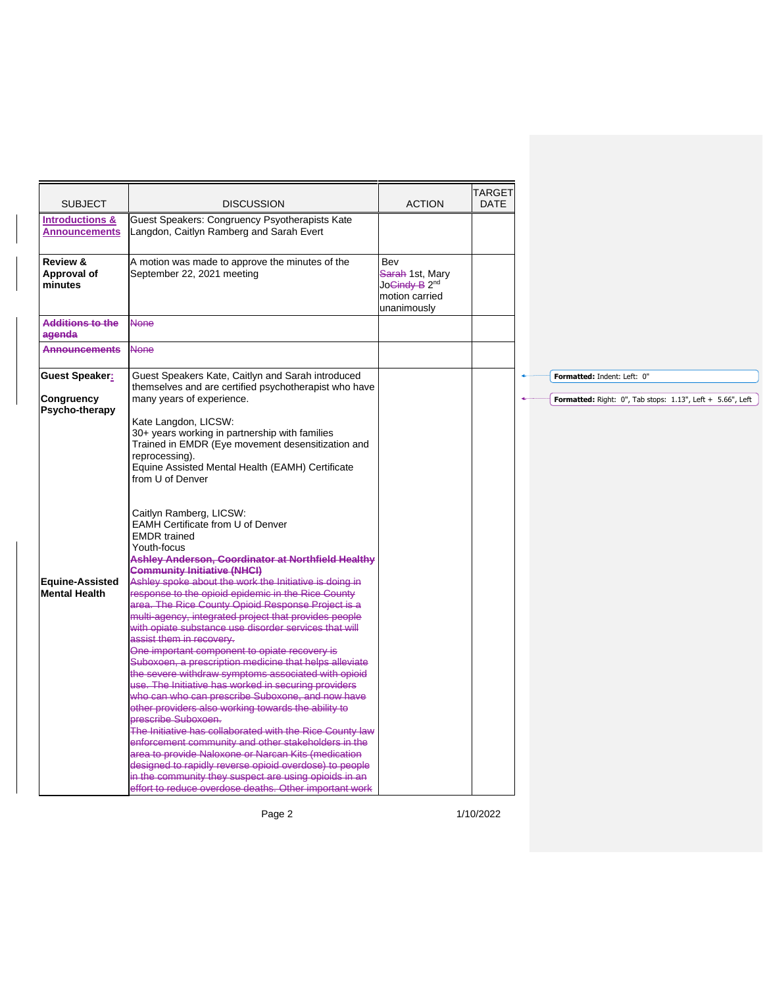| <b>SUBJECT</b>                                        | <b>DISCUSSION</b>                                                                                                                                                                                                                                                                                                                                                                                                                                                                                                                                                                                                                                                                                                                                                                                                                                                                                                                                                                | <b>ACTION</b>                                                                                                      | <b>TARGET</b><br><b>DATE</b> |                                                                                           |
|-------------------------------------------------------|----------------------------------------------------------------------------------------------------------------------------------------------------------------------------------------------------------------------------------------------------------------------------------------------------------------------------------------------------------------------------------------------------------------------------------------------------------------------------------------------------------------------------------------------------------------------------------------------------------------------------------------------------------------------------------------------------------------------------------------------------------------------------------------------------------------------------------------------------------------------------------------------------------------------------------------------------------------------------------|--------------------------------------------------------------------------------------------------------------------|------------------------------|-------------------------------------------------------------------------------------------|
| <b>Introductions &amp;</b><br><b>Announcements</b>    | Guest Speakers: Congruency Psyotherapists Kate<br>Langdon, Caitlyn Ramberg and Sarah Evert                                                                                                                                                                                                                                                                                                                                                                                                                                                                                                                                                                                                                                                                                                                                                                                                                                                                                       |                                                                                                                    |                              |                                                                                           |
| Review &<br>Approval of<br>minutes                    | A motion was made to approve the minutes of the<br>September 22, 2021 meeting                                                                                                                                                                                                                                                                                                                                                                                                                                                                                                                                                                                                                                                                                                                                                                                                                                                                                                    | <b>Bev</b><br><del>Sarah</del> 1st, Mary<br>Jo <del>Cindy B</del> 2 <sup>nd</sup><br>motion carried<br>unanimously |                              |                                                                                           |
| <b>Additions to the</b><br>agenda                     | <b>None</b>                                                                                                                                                                                                                                                                                                                                                                                                                                                                                                                                                                                                                                                                                                                                                                                                                                                                                                                                                                      |                                                                                                                    |                              |                                                                                           |
| <b>Announcements</b>                                  | <b>None</b>                                                                                                                                                                                                                                                                                                                                                                                                                                                                                                                                                                                                                                                                                                                                                                                                                                                                                                                                                                      |                                                                                                                    |                              |                                                                                           |
| <b>Guest Speaker:</b><br>Congruency<br>Psycho-therapy | Guest Speakers Kate, Caitlyn and Sarah introduced<br>themselves and are certified psychotherapist who have<br>many years of experience.<br>Kate Langdon, LICSW:                                                                                                                                                                                                                                                                                                                                                                                                                                                                                                                                                                                                                                                                                                                                                                                                                  |                                                                                                                    |                              | Formatted: Indent: Left: 0"<br>Formatted: Right: 0", Tab stops: 1.13", Left + 5.66", Left |
|                                                       | 30+ years working in partnership with families<br>Trained in EMDR (Eye movement desensitization and<br>reprocessing).<br>Equine Assisted Mental Health (EAMH) Certificate<br>from U of Denver                                                                                                                                                                                                                                                                                                                                                                                                                                                                                                                                                                                                                                                                                                                                                                                    |                                                                                                                    |                              |                                                                                           |
| Equine-Assisted                                       | Caitlyn Ramberg, LICSW:<br>EAMH Certificate from U of Denver<br><b>EMDR</b> trained<br>Youth-focus<br>Ashley Anderson, Coordinator at Northfield Healthy<br><b>Community Initiative (NHCI)</b><br>Ashley spoke about the work the Initiative is doing in                                                                                                                                                                                                                                                                                                                                                                                                                                                                                                                                                                                                                                                                                                                         |                                                                                                                    |                              |                                                                                           |
| <b>Mental Health</b>                                  | response to the opioid epidemic in the Rice County<br>area. The Rice County Opioid Response Project is a<br>multi-agency, integrated project that provides people<br>with opiate substance use disorder services that will<br>assist them in recovery.<br>One important component to opiate recovery is<br>Suboxoen, a prescription medicine that helps alleviate<br>the severe withdraw symptoms associated with opioid<br>use. The Initiative has worked in securing providers<br>who can who can prescribe Suboxone, and now have<br>other providers also working towards the ability to<br><b>prescribe Suboxoen.</b><br>The Initiative has collaborated with the Rice County law<br>enforcement community and other stakeholders in the<br>area to provide Naloxone or Narcan Kits (medication<br>designed to rapidly reverse opioid overdose) to people<br>in the community they suspect are using opioids in an<br>effort to reduce overdose deaths. Other important work |                                                                                                                    |                              |                                                                                           |
|                                                       | Page 2                                                                                                                                                                                                                                                                                                                                                                                                                                                                                                                                                                                                                                                                                                                                                                                                                                                                                                                                                                           |                                                                                                                    | 1/10/2022                    |                                                                                           |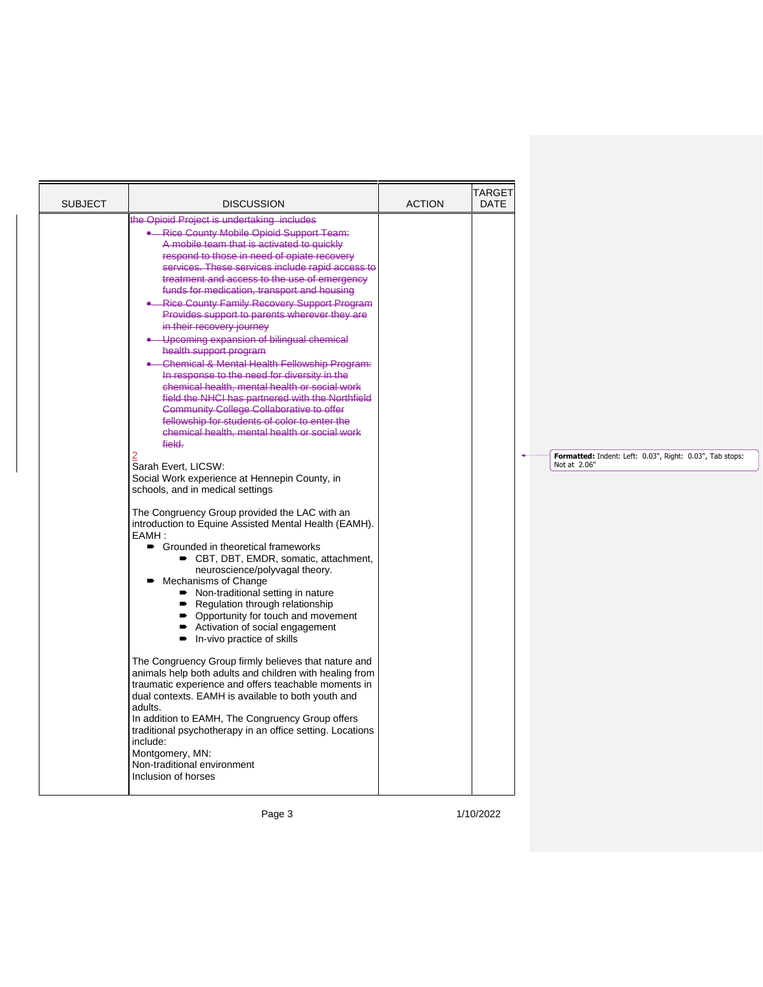| <b>SUBJECT</b> | <b>DISCUSSION</b>                                                                                                                                                                                                                                                                                                                                                                                                                                                                                                                                                                                                                                                                                                                                                                                                                                                                                                                                                                                                                                                                                                                                                                                                                                                                                                                                                                                                                                                                                                                                                                                                                                                                                                                                                                                                                                                                                                                          | <b>ACTION</b> | TARGET<br><b>DATE</b> |                                                                          |
|----------------|--------------------------------------------------------------------------------------------------------------------------------------------------------------------------------------------------------------------------------------------------------------------------------------------------------------------------------------------------------------------------------------------------------------------------------------------------------------------------------------------------------------------------------------------------------------------------------------------------------------------------------------------------------------------------------------------------------------------------------------------------------------------------------------------------------------------------------------------------------------------------------------------------------------------------------------------------------------------------------------------------------------------------------------------------------------------------------------------------------------------------------------------------------------------------------------------------------------------------------------------------------------------------------------------------------------------------------------------------------------------------------------------------------------------------------------------------------------------------------------------------------------------------------------------------------------------------------------------------------------------------------------------------------------------------------------------------------------------------------------------------------------------------------------------------------------------------------------------------------------------------------------------------------------------------------------------|---------------|-----------------------|--------------------------------------------------------------------------|
|                | the Opioid Project is undertaking includes<br><b>Rice County Mobile Opioid Support Team:</b><br>A mobile team that is activated to quickly<br>respond to those in need of opiate recovery<br>services. These services include rapid access to<br>treatment and access to the use of emergency<br>funds for medication, transport and housing<br><b>Rice County Family Recovery Support Program</b><br>Provides support to parents wherever they are<br>in their recovery journey<br>Upcoming expansion of bilingual chemical<br>health support program<br>Chemical & Mental Health Fellowship Program:<br>In response to the need for diversity in the<br>chemical health, mental health or social work<br>field the NHCI has partnered with the Northfield<br><b>Community College Collaborative to offer</b><br>fellowship for students of color to enter the<br>chemical health, mental health or social work<br>field.<br>Sarah Evert. LICSW:<br>Social Work experience at Hennepin County, in<br>schools, and in medical settings<br>The Congruency Group provided the LAC with an<br>introduction to Equine Assisted Mental Health (EAMH).<br>EAMH:<br>■ Grounded in theoretical frameworks<br>■ CBT, DBT, EMDR, somatic, attachment,<br>neuroscience/polyvagal theory.<br>Mechanisms of Change<br>• Non-traditional setting in nature<br>Regulation through relationship<br>• Opportunity for touch and movement<br>Activation of social engagement<br>In-vivo practice of skills<br>The Congruency Group firmly believes that nature and<br>animals help both adults and children with healing from<br>traumatic experience and offers teachable moments in<br>dual contexts. EAMH is available to both youth and<br>adults.<br>In addition to EAMH, The Congruency Group offers<br>traditional psychotherapy in an office setting. Locations<br>include:<br>Montgomery, MN:<br>Non-traditional environment<br>Inclusion of horses |               |                       | Formatted: Indent: Left: 0.03", Right: 0.03", Tab stops:<br>Not at 2.06" |

Page 3 1/10/2022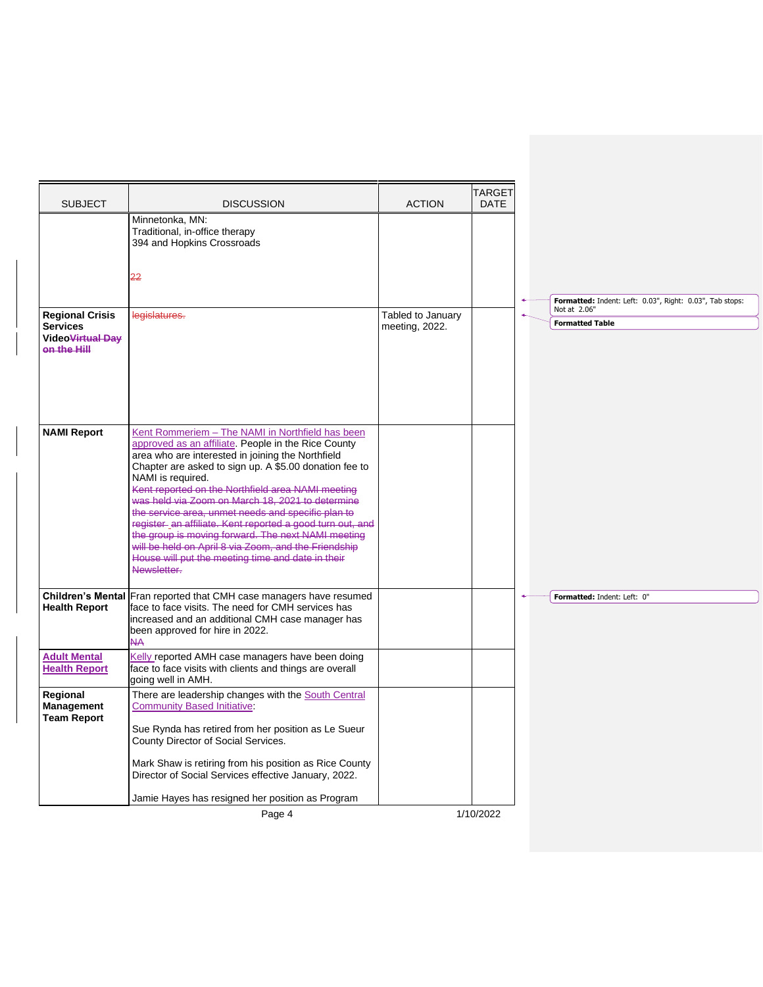| <b>SUBJECT</b>                                                                           | <b>DISCUSSION</b>                                                                                                                                                                                                                                                                                                                                                                                                                                                                                                                                                                                                                                         | <b>ACTION</b>                       | TARGET<br><b>DATE</b> |                                                          |
|------------------------------------------------------------------------------------------|-----------------------------------------------------------------------------------------------------------------------------------------------------------------------------------------------------------------------------------------------------------------------------------------------------------------------------------------------------------------------------------------------------------------------------------------------------------------------------------------------------------------------------------------------------------------------------------------------------------------------------------------------------------|-------------------------------------|-----------------------|----------------------------------------------------------|
|                                                                                          | Minnetonka, MN:<br>Traditional, in-office therapy<br>394 and Hopkins Crossroads                                                                                                                                                                                                                                                                                                                                                                                                                                                                                                                                                                           |                                     |                       |                                                          |
|                                                                                          | 22                                                                                                                                                                                                                                                                                                                                                                                                                                                                                                                                                                                                                                                        |                                     |                       | Formatted: Indent: Left: 0.03", Right: 0.03", Tab stops: |
| <b>Regional Crisis</b><br><b>Services</b><br>Video <del>Virtual Day</del><br>on the Hill | legislatures.                                                                                                                                                                                                                                                                                                                                                                                                                                                                                                                                                                                                                                             | Tabled to January<br>meeting, 2022. |                       | Not at 2.06"<br><b>Formatted Table</b>                   |
| <b>NAMI Report</b>                                                                       | Kent Rommeriem - The NAMI in Northfield has been<br>approved as an affiliate. People in the Rice County<br>area who are interested in joining the Northfield<br>Chapter are asked to sign up. A \$5.00 donation fee to<br>NAMI is required.<br>Kent reported on the Northfield area NAMI meeting<br>was held via Zoom on March 18, 2021 to determine<br>the service area, unmet needs and specific plan to<br>register an affiliate. Kent reported a good turn out, and<br>the group is moving forward. The next NAMI meeting<br>will be held on April 8 via Zoom, and the Friendship<br>House will put the meeting time and date in their<br>Newsletter. |                                     |                       |                                                          |
| <b>Health Report</b>                                                                     | Children's Mental Fran reported that CMH case managers have resumed<br>face to face visits. The need for CMH services has<br>increased and an additional CMH case manager has<br>been approved for hire in 2022.<br><b>NA</b>                                                                                                                                                                                                                                                                                                                                                                                                                             |                                     |                       | Formatted: Indent: Left: 0"                              |
| <b>Adult Mental</b><br><b>Health Report</b>                                              | Kelly reported AMH case managers have been doing<br>face to face visits with clients and things are overall<br>going well in AMH.                                                                                                                                                                                                                                                                                                                                                                                                                                                                                                                         |                                     |                       |                                                          |
| Regional<br>Management<br><b>Team Report</b>                                             | There are leadership changes with the South Central<br><b>Community Based Initiative</b><br>Sue Rynda has retired from her position as Le Sueur<br>County Director of Social Services.<br>Mark Shaw is retiring from his position as Rice County                                                                                                                                                                                                                                                                                                                                                                                                          |                                     |                       |                                                          |
|                                                                                          | Director of Social Services effective January, 2022.<br>Jamie Hayes has resigned her position as Program                                                                                                                                                                                                                                                                                                                                                                                                                                                                                                                                                  |                                     |                       |                                                          |
|                                                                                          | Page 4                                                                                                                                                                                                                                                                                                                                                                                                                                                                                                                                                                                                                                                    |                                     | 1/10/2022             |                                                          |